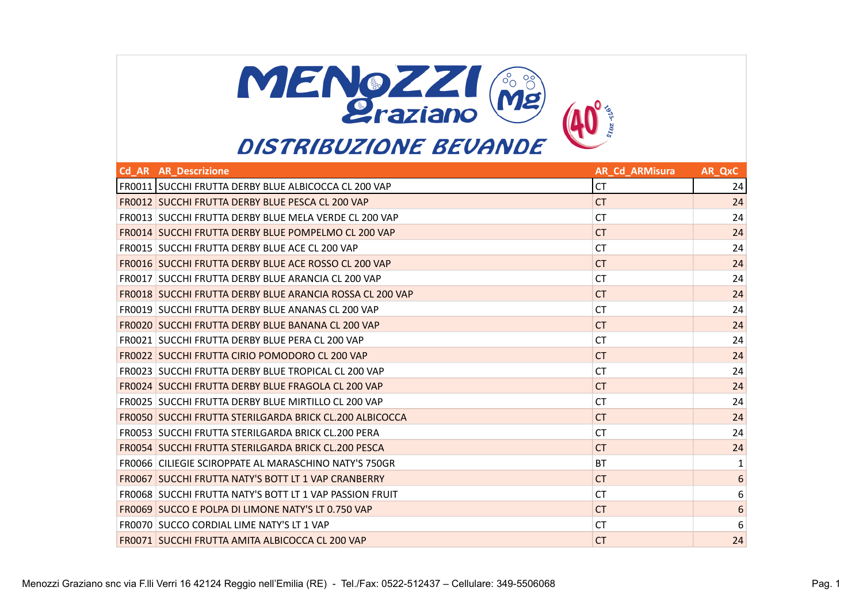

| <b>Cd AR AR Descrizione</b>                                    | <b>AR Cd ARMisura</b> | AR QxC           |
|----------------------------------------------------------------|-----------------------|------------------|
| FR0011 SUCCHI FRUTTA DERBY BLUE ALBICOCCA CL 200 VAP           | <b>CT</b>             | 24               |
| FR0012 SUCCHI FRUTTA DERBY BLUE PESCA CL 200 VAP               | <b>CT</b>             | 24               |
| FR0013 SUCCHI FRUTTA DERBY BLUE MELA VERDE CL 200 VAP          | <b>CT</b>             | 24               |
| FR0014 SUCCHI FRUTTA DERBY BLUE POMPELMO CL 200 VAP            | CT.                   | 24               |
| FR0015 SUCCHI FRUTTA DERBY BLUE ACE CL 200 VAP                 | <b>CT</b>             | 24               |
| FR0016 SUCCHI FRUTTA DERBY BLUE ACE ROSSO CL 200 VAP           | CT.                   | 24               |
| FR0017 SUCCHI FRUTTA DERBY BLUE ARANCIA CL 200 VAP             | <b>CT</b>             | 24               |
| FR0018 SUCCHI FRUTTA DERBY BLUE ARANCIA ROSSA CL 200 VAP       | <b>CT</b>             | 24               |
| FR0019 SUCCHI FRUTTA DERBY BLUE ANANAS CL 200 VAP              | <b>CT</b>             | 24               |
| FR0020 SUCCHI FRUTTA DERBY BLUE BANANA CL 200 VAP              | <b>CT</b>             | 24               |
| FR0021 SUCCHI FRUTTA DERBY BLUE PERA CL 200 VAP                | <b>CT</b>             | 24               |
| FR0022 SUCCHI FRUTTA CIRIO POMODORO CL 200 VAP                 | CT.                   | 24               |
| FR0023 SUCCHI FRUTTA DERBY BLUE TROPICAL CL 200 VAP            | <b>CT</b>             | 24               |
| FR0024 SUCCHI FRUTTA DERBY BLUE FRAGOLA CL 200 VAP             | CT.                   | 24               |
| FR0025 SUCCHI FRUTTA DERBY BLUE MIRTILLO CL 200 VAP            | <b>CT</b>             | 24               |
| FR0050 SUCCHI FRUTTA STERILGARDA BRICK CL.200 ALBICOCCA        | CT.                   | 24               |
| FR0053 SUCCHI FRUTTA STERILGARDA BRICK CL.200 PERA             | <b>CT</b>             | 24               |
| FR0054 SUCCHI FRUTTA STERILGARDA BRICK CL.200 PESCA            | CT.                   | 24               |
| FR0066 CILIEGIE SCIROPPATE AL MARASCHINO NATY'S 750GR          | <b>BT</b>             | $\mathbf{1}$     |
| <b>FROOG7 SUCCHI FRUTTA NATY'S BOTT LT 1 VAP CRANBERRY</b>     | CT.                   | $6\phantom{1}6$  |
| <b>FROOG8 SUCCHI FRUTTA NATY'S BOTT LT 1 VAP PASSION FRUIT</b> | <b>CT</b>             | 6                |
| FR0069 SUCCO E POLPA DI LIMONE NATY'S LT 0.750 VAP             | CT.                   | $\boldsymbol{6}$ |
| FR0070 SUCCO CORDIAL LIME NATY'S LT 1 VAP                      | <b>CT</b>             | $\boldsymbol{6}$ |
| FR0071 SUCCHI FRUTTA AMITA ALBICOCCA CL 200 VAP                | <b>CT</b>             | 24               |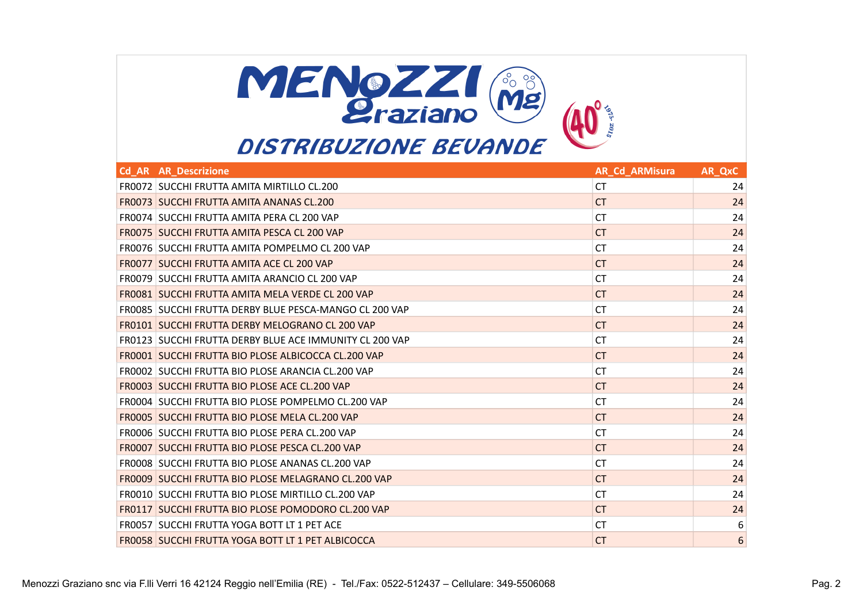

| <b>Cd AR AR Descrizione</b>                              | <b>AR Cd ARMisura</b> | AR QxC |
|----------------------------------------------------------|-----------------------|--------|
| FR0072 SUCCHI FRUTTA AMITA MIRTILLO CL.200               | <b>CT</b>             | 24     |
| <b>FROO73 SUCCHI FRUTTA AMITA ANANAS CL.200</b>          | CT.                   | 24     |
| FR0074 SUCCHI FRUTTA AMITA PERA CL 200 VAP               | <b>CT</b>             | 24     |
| FR0075 SUCCHI FRUTTA AMITA PESCA CL 200 VAP              | CT.                   | 24     |
| FR0076 SUCCHI FRUTTA AMITA POMPELMO CL 200 VAP           | <b>CT</b>             | 24     |
| <b>FROO77 SUCCHI FRUTTA AMITA ACE CL 200 VAP</b>         | <b>CT</b>             | 24     |
| FR0079 SUCCHI FRUTTA AMITA ARANCIO CL 200 VAP            | <b>CT</b>             | 24     |
| <b>FROO81 SUCCHI FRUTTA AMITA MELA VERDE CL 200 VAP</b>  | <b>CT</b>             | 24     |
| FR0085 SUCCHI FRUTTA DERBY BLUE PESCA-MANGO CL 200 VAP   | <b>CT</b>             | 24     |
| <b>FR0101 SUCCHI FRUTTA DERBY MELOGRANO CL 200 VAP</b>   | <b>CT</b>             | 24     |
| FR0123 SUCCHI FRUTTA DERBY BLUE ACE IMMUNITY CL 200 VAP  | <b>CT</b>             | 24     |
| FR0001 SUCCHI FRUTTA BIO PLOSE ALBICOCCA CL.200 VAP      | CT.                   | 24     |
| FR0002 SUCCHI FRUTTA BIO PLOSE ARANCIA CL.200 VAP        | <b>CT</b>             | 24     |
| FR0003 SUCCHI FRUTTA BIO PLOSE ACE CL.200 VAP            | CT.                   | 24     |
| FR0004 SUCCHI FRUTTA BIO PLOSE POMPELMO CL.200 VAP       | <b>CT</b>             | 24     |
| FR0005 SUCCHI FRUTTA BIO PLOSE MELA CL.200 VAP           | CT.                   | 24     |
| FR0006 SUCCHI FRUTTA BIO PLOSE PERA CL.200 VAP           | <b>CT</b>             | 24     |
| FR0007 SUCCHI FRUTTA BIO PLOSE PESCA CL.200 VAP          | <b>CT</b>             | 24     |
| FR0008 SUCCHI FRUTTA BIO PLOSE ANANAS CL.200 VAP         | <b>CT</b>             | 24     |
| FR0009 SUCCHI FRUTTA BIO PLOSE MELAGRANO CL.200 VAP      | <b>CT</b>             | 24     |
| FR0010 SUCCHI FRUTTA BIO PLOSE MIRTILLO CL.200 VAP       | <b>CT</b>             | 24     |
| FR0117 SUCCHI FRUTTA BIO PLOSE POMODORO CL.200 VAP       | CT.                   | 24     |
| FR0057 SUCCHI FRUTTA YOGA BOTT LT 1 PET ACE              | <b>CT</b>             | 6      |
| <b>FROO58 SUCCHI FRUTTA YOGA BOTT LT 1 PET ALBICOCCA</b> | <b>CT</b>             | 6      |